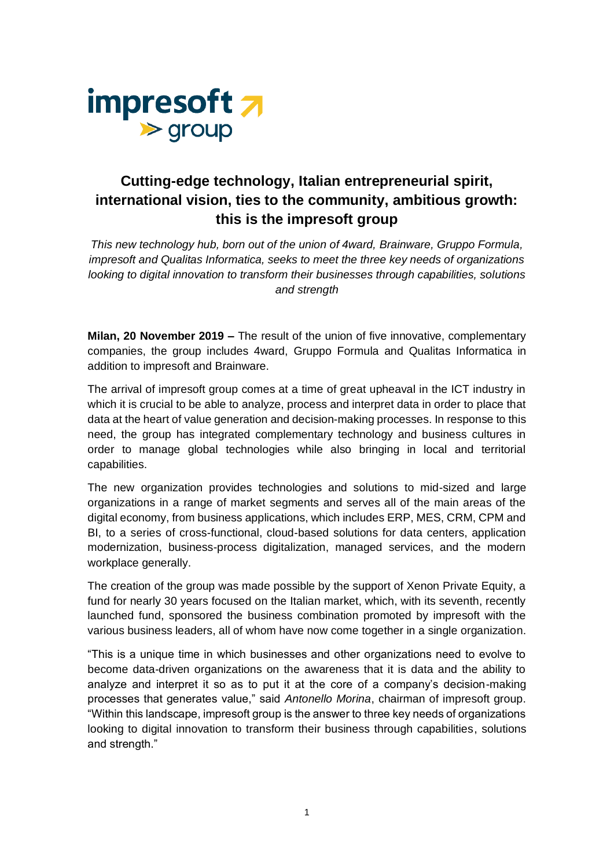

## **Cutting-edge technology, Italian entrepreneurial spirit, international vision, ties to the community, ambitious growth: this is the impresoft group**

*This new technology hub, born out of the union of 4ward, Brainware, Gruppo Formula, impresoft and Qualitas Informatica, seeks to meet the three key needs of organizations looking to digital innovation to transform their businesses through capabilities, solutions and strength*

**Milan, 20 November 2019 –** The result of the union of five innovative, complementary companies, the group includes 4ward, Gruppo Formula and Qualitas Informatica in addition to impresoft and Brainware.

The arrival of impresoft group comes at a time of great upheaval in the ICT industry in which it is crucial to be able to analyze, process and interpret data in order to place that data at the heart of value generation and decision-making processes. In response to this need, the group has integrated complementary technology and business cultures in order to manage global technologies while also bringing in local and territorial capabilities.

The new organization provides technologies and solutions to mid-sized and large organizations in a range of market segments and serves all of the main areas of the digital economy, from business applications, which includes ERP, MES, CRM, CPM and BI, to a series of cross-functional, cloud-based solutions for data centers, application modernization, business-process digitalization, managed services, and the modern workplace generally.

The creation of the group was made possible by the support of Xenon Private Equity, a fund for nearly 30 years focused on the Italian market, which, with its seventh, recently launched fund, sponsored the business combination promoted by impresoft with the various business leaders, all of whom have now come together in a single organization.

"This is a unique time in which businesses and other organizations need to evolve to become data-driven organizations on the awareness that it is data and the ability to analyze and interpret it so as to put it at the core of a company's decision-making processes that generates value," said *Antonello Morina*, chairman of impresoft group. "Within this landscape, impresoft group is the answer to three key needs of organizations looking to digital innovation to transform their business through capabilities, solutions and strength."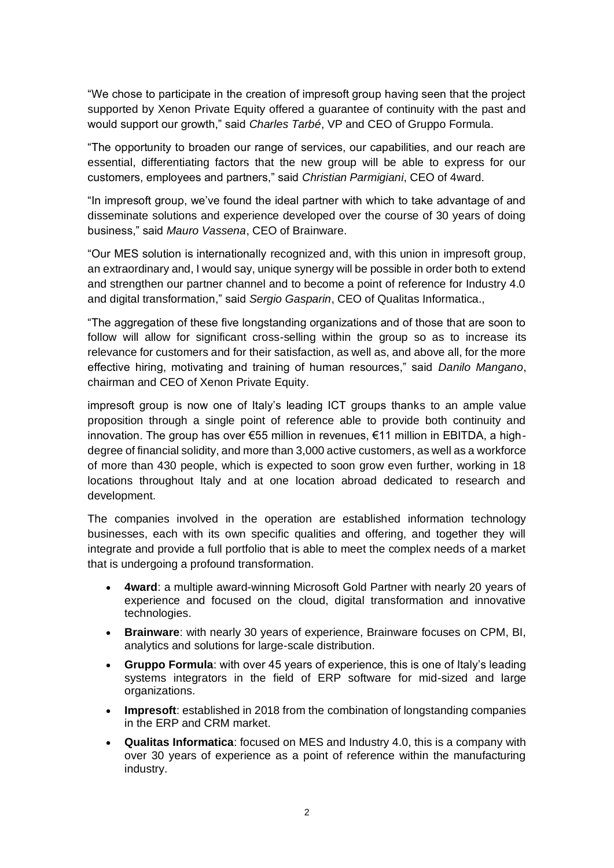"We chose to participate in the creation of impresoft group having seen that the project supported by Xenon Private Equity offered a guarantee of continuity with the past and would support our growth," said *Charles Tarbé*, VP and CEO of Gruppo Formula.

"The opportunity to broaden our range of services, our capabilities, and our reach are essential, differentiating factors that the new group will be able to express for our customers, employees and partners," said *Christian Parmigiani*, CEO of 4ward.

"In impresoft group, we've found the ideal partner with which to take advantage of and disseminate solutions and experience developed over the course of 30 years of doing business," said *Mauro Vassena*, CEO of Brainware.

"Our MES solution is internationally recognized and, with this union in impresoft group, an extraordinary and, I would say, unique synergy will be possible in order both to extend and strengthen our partner channel and to become a point of reference for Industry 4.0 and digital transformation," said *Sergio Gasparin*, CEO of Qualitas Informatica.,

"The aggregation of these five longstanding organizations and of those that are soon to follow will allow for significant cross-selling within the group so as to increase its relevance for customers and for their satisfaction, as well as, and above all, for the more effective hiring, motivating and training of human resources," said *Danilo Mangano*, chairman and CEO of Xenon Private Equity.

impresoft group is now one of Italy's leading ICT groups thanks to an ample value proposition through a single point of reference able to provide both continuity and innovation. The group has over €55 million in revenues, €11 million in EBITDA, a highdegree of financial solidity, and more than 3,000 active customers, as well as a workforce of more than 430 people, which is expected to soon grow even further, working in 18 locations throughout Italy and at one location abroad dedicated to research and development.

The companies involved in the operation are established information technology businesses, each with its own specific qualities and offering, and together they will integrate and provide a full portfolio that is able to meet the complex needs of a market that is undergoing a profound transformation.

- **4ward**: a multiple award-winning Microsoft Gold Partner with nearly 20 years of experience and focused on the cloud, digital transformation and innovative technologies.
- **Brainware**: with nearly 30 years of experience, Brainware focuses on CPM, BI, analytics and solutions for large-scale distribution.
- **Gruppo Formula**: with over 45 years of experience, this is one of Italy's leading systems integrators in the field of ERP software for mid-sized and large organizations.
- **Impresoft**: established in 2018 from the combination of longstanding companies in the ERP and CRM market.
- **Qualitas Informatica**: focused on MES and Industry 4.0, this is a company with over 30 years of experience as a point of reference within the manufacturing industry.